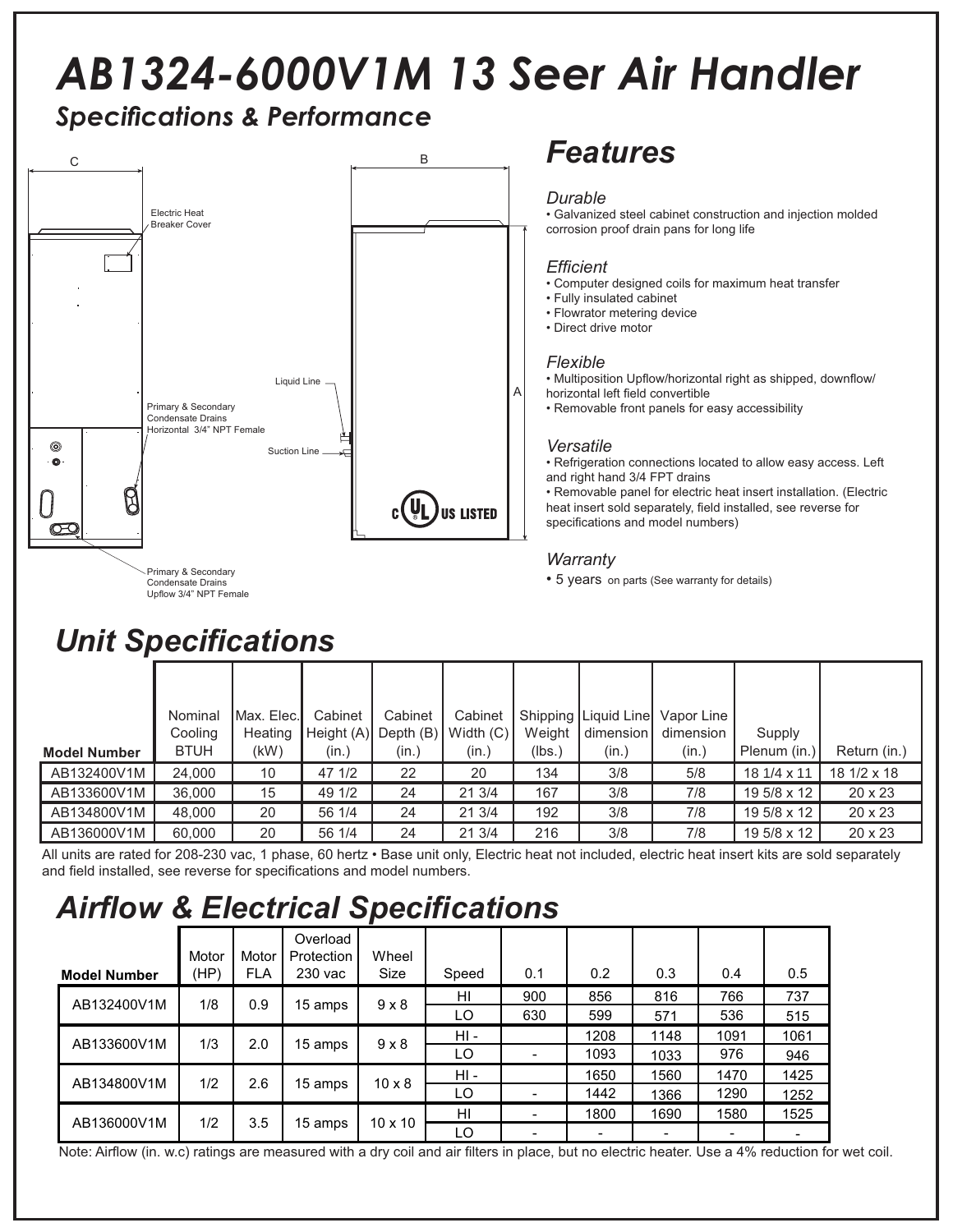# *AB1324-6000V1M 13 Seer Air Handler*

## **Specifications & Performance**



### Condensate Drains Upflow 3/4" NPT Female

*Unit Specifi cations*

## *Features*

### *Durable*

• Galvanized steel cabinet construction and injection molded corrosion proof drain pans for long life

### *Effi cient*

- Computer designed coils for maximum heat transfer
- Fully insulated cabinet
- Flowrator metering device
- Direct drive motor

### *Flexible*

• Multiposition Upflow/horizontal right as shipped, downflow/

horizontal left field convertible • Removable front panels for easy accessibility

*Versatile* • Refrigeration connections located to allow easy access. Left and right hand 3/4 FPT drains

• Removable panel for electric heat insert installation. (Electric heat insert sold separately, field installed, see reverse for specifications and model numbers)

## *Warranty*

• 5 years on parts (See warranty for details)

|                     | Nominal     | Max. Elec. | Cabinet   | Cabinet   | Cabinet     |        | Shipping   Liquid Line | Vapor Line |                   |                |  |
|---------------------|-------------|------------|-----------|-----------|-------------|--------|------------------------|------------|-------------------|----------------|--|
|                     | Cooling     | Heating    | Height(A) | Depth (B) | Width $(C)$ | Weight | dimension              | dimension  | Supply            |                |  |
| <b>Model Number</b> | <b>BTUH</b> | (kW)       | (in.)     | (in.)     | (in.)       | (lbs.) | (in.)                  | (in.)      | Plenum (in.)      | Return (in.)   |  |
| AB132400V1M         | 24,000      | 10         | 47 1/2    | 22        | 20          | 134    | 3/8                    | 5/8        | $181/4 \times 11$ | 18 1/2 x 18    |  |
| AB133600V1M         | 36,000      | 15         | 49 1/2    | 24        | 21 3/4      | 167    | 3/8                    | 7/8        | 19 5/8 x 12       | $20 \times 23$ |  |
| AB134800V1M         | 48,000      | 20         | 56 1/4    | 24        | 21 3/4      | 192    | 3/8                    | 7/8        | 19 5/8 x 12       | $20 \times 23$ |  |
| AB136000V1M         | 60.000      | 20         | 56 1/4    | 24        | 21 3/4      | 216    | 3/8                    | 7/8        | 19 5/8 x 12       | $20 \times 23$ |  |

All units are rated for 208-230 vac, 1 phase, 60 hertz • Base unit only, Electric heat not included, electric heat insert kits are sold separately and field installed, see reverse for specifications and model numbers.

## **Airflow & Electrical Specifications**

| <b>Model Number</b> | Motor<br>(HP) | Motor<br><b>FLA</b> | Overload<br>Protection<br>230 vac | Wheel<br>Size  | Speed  | 0.1            | 0.2            | 0.3  | 0.4  | 0.5                      |
|---------------------|---------------|---------------------|-----------------------------------|----------------|--------|----------------|----------------|------|------|--------------------------|
| AB132400V1M         | 1/8           | 0.9                 |                                   | $9 \times 8$   | HI     | 900            | 856            | 816  | 766  | 737                      |
|                     |               |                     | 15 amps                           |                | LO     | 630            | 599            | 571  | 536  | 515                      |
| AB133600V1M         | 1/3           | 2.0                 |                                   | $9 \times 8$   | $HI -$ |                | 1208           | 1148 | 1091 | 1061                     |
|                     |               |                     | 15 amps                           |                | LO     | $\blacksquare$ | 1093           | 1033 | 976  | 946                      |
| AB134800V1M         | 1/2           | 2.6                 | 15 amps                           | $10 \times 8$  | $HI -$ |                | 1650           | 1560 | 1470 | 1425                     |
|                     |               |                     |                                   |                | LO     | $\blacksquare$ | 1442           | 1366 | 1290 | 1252                     |
| AB136000V1M         | 1/2           | 3.5                 | 15 amps                           | $10 \times 10$ | HI     | Ξ.             | 1800           | 1690 | 1580 | 1525                     |
|                     |               |                     |                                   |                | LO     |                | $\blacksquare$ |      |      | $\overline{\phantom{0}}$ |

Note: Airflow (in. w.c) ratings are measured with a dry coil and air filters in place, but no electric heater. Use a 4% reduction for wet coil.